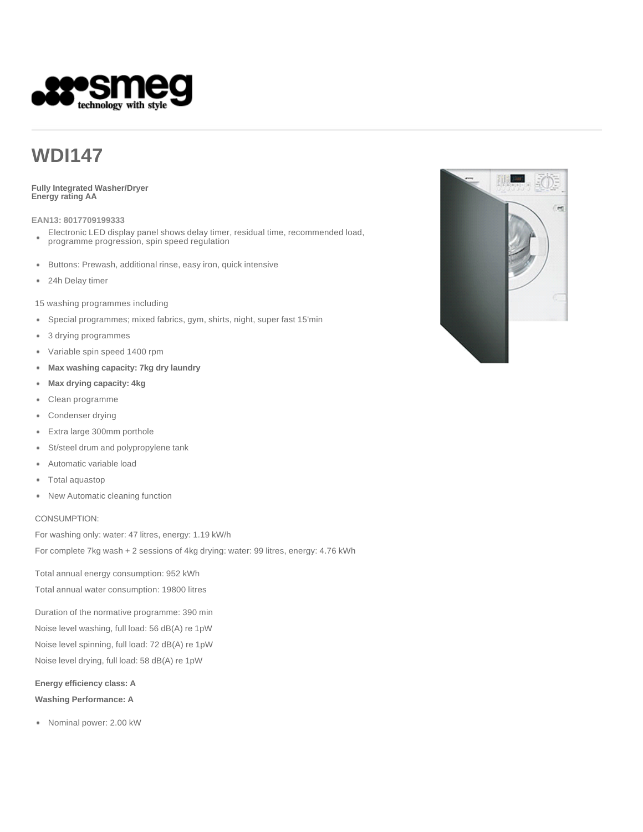

# **WDI147**

#### **Fully Integrated Washer/Dryer Energy rating AA**

### **EAN13: 8017709199333**

- Electronic LED display panel shows delay timer, residual time, recommended load, ٠ programme progression, spin speed regulation
- Buttons: Prewash, additional rinse, easy iron, quick intensive
- 24h Delay timer

15 washing programmes including

- Special programmes; mixed fabrics, gym, shirts, night, super fast 15'min
- 3 drying programmes
- Variable spin speed 1400 rpm
- **Max washing capacity: 7kg dry laundry**
- **Max drying capacity: 4kg**  $\bullet$
- Clean programme
- Condenser drying
- $\bullet$ Extra large 300mm porthole
- St/steel drum and polypropylene tank  $\bullet$
- Automatic variable load
- Total aquastop ٠
- New Automatic cleaning function

#### CONSUMPTION:

For washing only: water: 47 litres, energy: 1.19 kW/h For complete 7kg wash + 2 sessions of 4kg drying: water: 99 litres, energy: 4.76 kWh

Total annual energy consumption: 952 kWh Total annual water consumption: 19800 litres

Duration of the normative programme: 390 min Noise level washing, full load: 56 dB(A) re 1pW Noise level spinning, full load: 72 dB(A) re 1pW Noise level drying, full load: 58 dB(A) re 1pW

**Energy efficiency class: A Washing Performance: A**

Nominal power: 2.00 kW

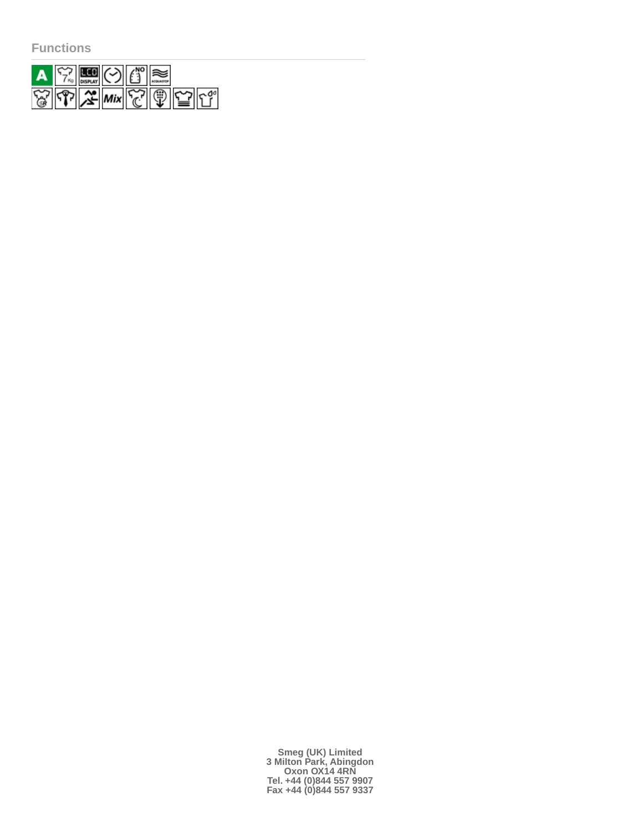**Functions**



**Smeg (UK) Limited 3 Milton Park, Abingdon Oxon OX14 4RN Tel. +44 (0)844 557 9907 Fax +44 (0)844 557 9337**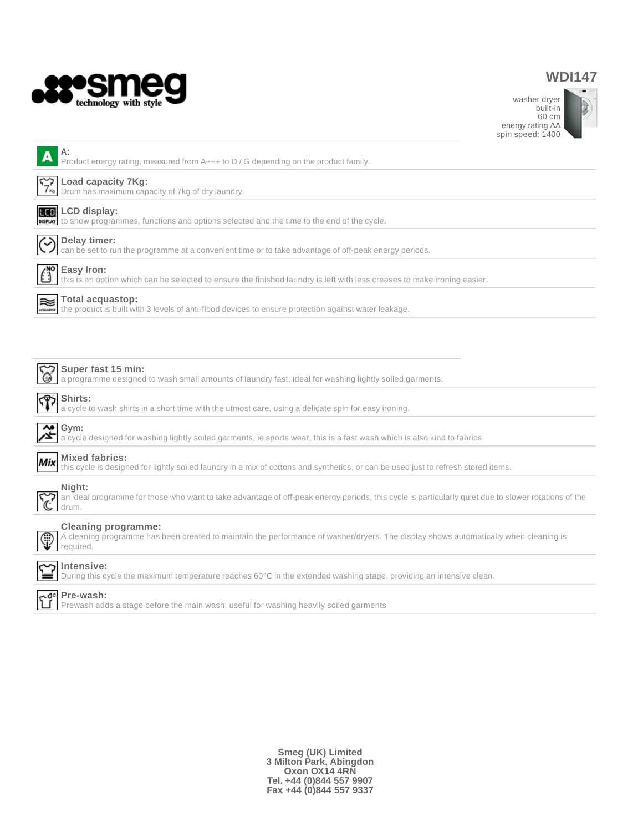

## **WDI147**

washer dryer built-in 60 cm energy rating AA spin speed: 1400



م<br>محم

Product energy rating, measured from A+++ to D / G depending on the product family.

### **Load capacity 7Kg:**

Drum has maximum capacity of 7kg of dry laundry.



**DISPLAY** to show programmes, functions and options selected and the time to the end of the cycle.

#### ♡ **Delay timer:**

can be set to run the programme at a convenient time or to take advantage of off-peak energy periods.

#### NO **Easy Iron:** L)

≋

this is an option which can be selected to ensure the finished laundry is left with less creases to make ironing easier.

## **Total acquastop:**

the product is built with 3 levels of anti-flood devices to ensure protection against water leakage.



### **Super fast 15 min:**

a programme designed to wash small amounts of laundry fast, ideal for washing lightly soiled garments.

## **Shirts:**

a cycle to wash shirts in a short time with the utmost care, using a delicate spin for easy ironing.

#### ٨ø **Gym:** ≃

a cycle designed for washing lightly soiled garments, ie sports wear, this is a fast wash which is also kind to fabrics.

#### **Mixed fabrics:** Mix

this cycle is designed for lightly soiled laundry in a mix of cottons and synthetics, or can be used just to refresh stored items.

| Night:  |
|---------|
| an idea |
| drum    |

⊕

?

an ideal programme for those who want to take advantage of off-peak energy periods, this cycle is particularly quiet due to slower rotations of the drum.

#### **Cleaning programme:**

A cleaning programme has been created to maintain the performance of washer/dryers. The display shows automatically when cleaning is required.

#### **Intensive:**

During this cycle the maximum temperature reaches 60°C in the extended washing stage, providing an intensive clean.

#### ەم.<br>أ **Pre-wash:**

Prewash adds a stage before the main wash, useful for washing heavily soiled garments

**Smeg (UK) Limited 3 Milton Park, Abingdon Oxon OX14 4RN Tel. +44 (0)844 557 9907 Fax +44 (0)844 557 9337**